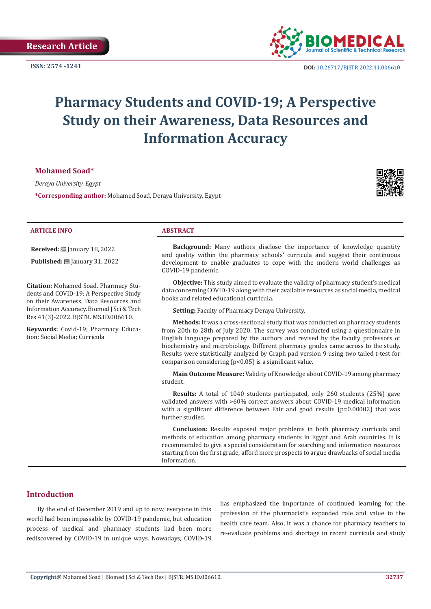

**ISSN:** 2574 -1241 **DOI:** [10.26717/BJSTR.2022.41.006610](https://dx.doi.org/10.26717/BJSTR.2022.41.006610)

# **Pharmacy Students and COVID-19; A Perspective Study on their Awareness, Data Resources and Information Accuracy**

**Mohamed Soad\*** 

*Deraya University, Egypt*

**\*Corresponding author:** Mohamed Soad, Deraya University, Egypt



#### **ARTICLE INFO ABSTRACT**

**Received:** January 18, 2022

**Published:** [2010] January 31, 2022

**Citation:** Mohamed Soad. Pharmacy Students and COVID-19; A Perspective Study on their Awareness, Data Resources and Information Accuracy. Biomed J Sci & Tech Res 41(3)-2022. BJSTR. MS.ID.006610.

**Keywords:** Covid-19; Pharmacy Education; Social Media; Curricula

**Background:** Many authors disclose the importance of knowledge quantity and quality within the pharmacy schools' curricula and suggest their continuous development to enable graduates to cope with the modern world challenges as COVID-19 pandemic.

**Objective:** This study aimed to evaluate the validity of pharmacy student's medical data concerning COVID-19 along with their available resources as social media, medical books and related educational curricula.

**Setting:** Faculty of Pharmacy Deraya University.

**Methods:** It was a cross-sectional study that was conducted on pharmacy students from 20th to 28th of July 2020. The survey was conducted using a questionnaire in English language prepared by the authors and revised by the faculty professors of biochemistry and microbiology. Different pharmacy grades came across to the study. Results were statistically analyzed by Graph pad version 9 using two tailed t-test for comparison considering (p<0.05) is a significant value.

**Main Outcome Measure:** Validity of Knowledge about COVID-19 among pharmacy student.

**Results:** A total of 1040 students participated, only 260 students (25%) gave validated answers with >60% correct answers about COVID-19 medical information with a significant difference between Fair and good results ( $p=0.00002$ ) that was further studied.

**Conclusion:** Results exposed major problems in both pharmacy curricula and methods of education among pharmacy students in Egypt and Arab countries. It is recommended to give a special consideration for searching and information resources starting from the first grade, afford more prospects to argue drawbacks of social media information.

# **Introduction**

By the end of December 2019 and up to now, everyone in this world had been impassable by COVID-19 pandemic, but education process of medical and pharmacy students had been more rediscovered by COVID-19 in unique ways. Nowadays, COVID-19

has emphasized the importance of continued learning for the profession of the pharmacist's expanded role and value to the health care team. Also, it was a chance for pharmacy teachers to re-evaluate problems and shortage in recent curricula and study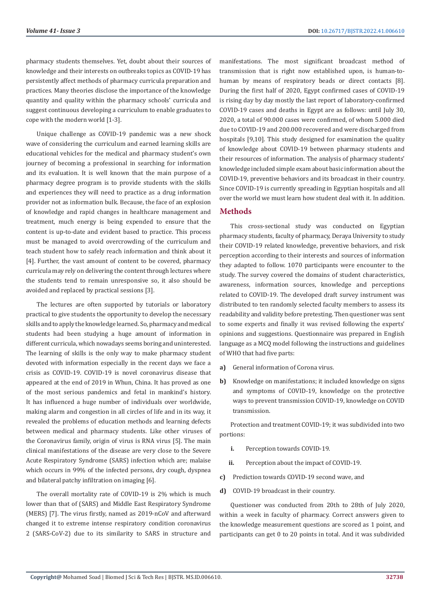pharmacy students themselves. Yet, doubt about their sources of knowledge and their interests on outbreaks topics as COVID-19 has persistently affect methods of pharmacy curricula preparation and practices. Many theories disclose the importance of the knowledge quantity and quality within the pharmacy schools' curricula and suggest continuous developing a curriculum to enable graduates to cope with the modern world [1-3].

Unique challenge as COVID-19 pandemic was a new shock wave of considering the curriculum and earned learning skills are educational vehicles for the medical and pharmacy student's own journey of becoming a professional in searching for information and its evaluation. It is well known that the main purpose of a pharmacy degree program is to provide students with the skills and experiences they will need to practice as a drug information provider not as information bulk. Because, the face of an explosion of knowledge and rapid changes in healthcare management and treatment, much energy is being expended to ensure that the content is up-to-date and evident based to practice. This process must be managed to avoid overcrowding of the curriculum and teach student how to safely reach information and think about it [4]. Further, the vast amount of content to be covered, pharmacy curricula may rely on delivering the content through lectures where the students tend to remain unresponsive so, it also should be avoided and replaced by practical sessions [3].

The lectures are often supported by tutorials or laboratory practical to give students the opportunity to develop the necessary skills and to apply the knowledge learned. So, pharmacy and medical students had been studying a huge amount of information in different curricula, which nowadays seems boring and uninterested. The learning of skills is the only way to make pharmacy student devoted with information especially in the recent days we face a crisis as COVID-19. COVID-19 is novel coronavirus disease that appeared at the end of 2019 in Whun, China. It has proved as one of the most serious pandemics and fetal in mankind's history. It has influenced a huge number of individuals over worldwide, making alarm and congestion in all circles of life and in its way, it revealed the problems of education methods and learning defects between medical and pharmacy students. Like other viruses of the Coronavirus family, origin of virus is RNA virus [5]. The main clinical manifestations of the disease are very close to the Severe Acute Respiratory Syndrome (SARS) infection which are; malaise which occurs in 99% of the infected persons, dry cough, dyspnea and bilateral patchy infiltration on imaging [6].

The overall mortality rate of COVID-19 is 2% which is much lower than that of (SARS) and Middle East Respiratory Syndrome (MERS) [7]. The virus firstly, named as 2019-nCoV and afterward changed it to extreme intense respiratory condition coronavirus 2 (SARS-CoV-2) due to its similarity to SARS in structure and

manifestations. The most significant broadcast method of transmission that is right now established upon, is human-tohuman by means of respiratory beads or direct contacts [8]. During the first half of 2020, Egypt confirmed cases of COVID-19 is rising day by day mostly the last report of laboratory-confirmed COVID-19 cases and deaths in Egypt are as follows: until July 30, 2020, a total of 90.000 cases were confirmed, of whom 5.000 died due to COVID-19 and 200.000 recovered and were discharged from hospitals [9,10]. This study designed for examination the quality of knowledge about COVID-19 between pharmacy students and their resources of information. The analysis of pharmacy students' knowledge included simple exam about basic information about the COVID-19, preventive behaviors and its broadcast in their country. Since COVID-19 is currently spreading in Egyptian hospitals and all over the world we must learn how student deal with it. In addition.

## **Methods**

This cross-sectional study was conducted on Egyptian pharmacy students, faculty of pharmacy, Deraya University to study their COVID-19 related knowledge, preventive behaviors, and risk perception according to their interests and sources of information they adapted to follow. 1070 participants were encounter to the study. The survey covered the domains of student characteristics, awareness, information sources, knowledge and perceptions related to COVID-19. The developed draft survey instrument was distributed to ten randomly selected faculty members to assess its readability and validity before pretesting. Then questioner was sent to some experts and finally it was revised following the experts' opinions and suggestions. Questionnaire was prepared in English language as a MCQ model following the instructions and guidelines of WHO that had five parts:

- **a)** General information of Corona virus.
- **b)** Knowledge on manifestations; it included knowledge on signs and symptoms of COVID-19, knowledge on the protective ways to prevent transmission COVID-19, knowledge on COVID transmission.

Protection and treatment COVID-19; it was subdivided into two portions:

- **i.** Perception towards COVID-19.
- **ii.** Perception about the impact of COVID-19.
- **c)** Prediction towards COVID-19 second wave, and
- **d)** COVID-19 broadcast in their country.

Questioner was conducted from 20th to 28th of July 2020, within a week in faculty of pharmacy. Correct answers given to the knowledge measurement questions are scored as 1 point, and participants can get 0 to 20 points in total. And it was subdivided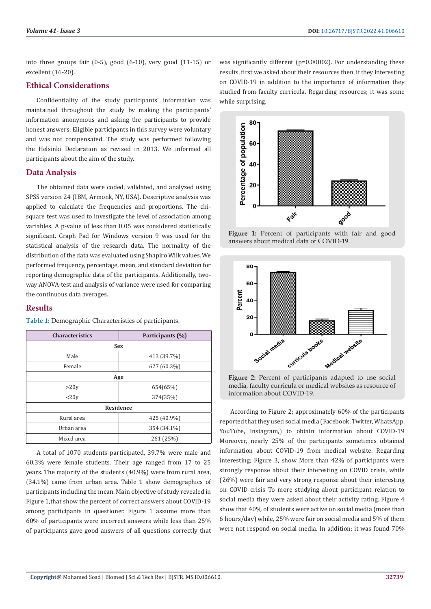into three groups fair (0-5), good (6-10), very good (11-15) or excellent (16-20).

#### **Ethical Considerations**

Confidentiality of the study participants' information was maintained throughout the study by making the participants' information anonymous and asking the participants to provide honest answers. Eligible participants in this survey were voluntary and was not compensated. The study was performed following the Helsinki Declaration as revised in 2013. We informed all participants about the aim of the study.

#### **Data Analysis**

The obtained data were coded, validated, and analyzed using SPSS version 24 (IBM, Armonk, NY, USA). Descriptive analysis was applied to calculate the frequencies and proportions. The chisquare test was used to investigate the level of association among variables. A p-value of less than 0.05 was considered statistically significant. Graph Pad for Windows version 9 was used for the statistical analysis of the research data. The normality of the distribution of the data was evaluated using Shapiro Wilk values. We performed frequency, percentage, mean, and standard deviation for reporting demographic data of the participants. Additionally, twoway ANOVA-test and analysis of variance were used for comparing the continuous data averages.

#### **Results**

**Table 1:** Demographic Characteristics of participants.

| <b>Characteristics</b> | Participants (%) |
|------------------------|------------------|
| <b>Sex</b>             |                  |
| Male                   | 413 (39.7%)      |
| Female                 | 627 (60.3%)      |
| Age                    |                  |
| >20y                   | 654(65%)         |
| <20y                   | 374(35%)         |
| Residence              |                  |
| Rural area             | 425 (40.9%)      |
| Urban area             | 354 (34.1%)      |
| Mixed area             | 261 (25%)        |

A total of 1070 students participated, 39.7% were male and 60.3% were female students. Their age ranged from 17 to 25 years. The majority of the students (40.9%) were from rural area, (34.1%) came from urban area. Table 1 show demographics of participants including the mean. Main objective of study revealed in Figure 1,that show the percent of correct answers about COVID-19 among participants in questioner. Figure 1 assume more than 60% of participants were incorrect answers while less than 25% of participants gave good answers of all questions correctly that

was significantly different (p=0.00002). For understanding these results, first we asked about their resources then, if they interesting on COVID-19 in addition to the importance of information they studied from faculty curricula. Regarding resources; it was some while surprising.



Figure 1: Percent of participants with fair and good answers about medical data of COVID-19.



**Figure 2:** Percent of participants adapted to use social media, faculty curricula or medical websites as resource of information about COVID-19.

According to Figure 2; approximately 60% of the participants reported that they used social media (Facebook, Twitter, WhatsApp, YouTube, Instagram,) to obtain information about COVID-19 Moreover, nearly 25% of the participants sometimes obtained information about COVID-19 from medical website. Regarding interesting; Figure 3, show More than 42% of participants were strongly response about their interesting on COVID crisis, while (26%) were fair and very strong response about their interesting on COVID crisis To more studying about participant relation to social media they were asked about their activity rating. Figure 4 show that 40% of students were active on social media (more than 6 hours/day) while, 25% were fair on social media and 5% of them were not respond on social media. In addition; it was found 70%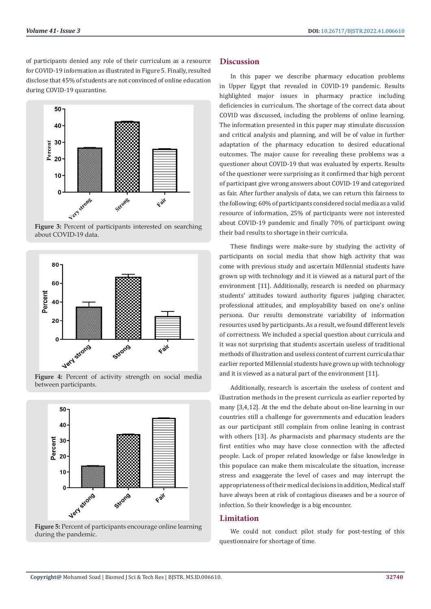of participants denied any role of their curriculum as a resource for COVID-19 information as illustrated in Figure 5. Finally, resulted disclose that 45% of students are not convinced of online education during COVID-19 quarantine.



**Figure 3:** Percent of participants interested on searching about COVID-19 data.



**Figure 4:** Percent of activity strength on social media between participants.



**Figure 5:** Percent of participants encourage online learning during the pandemic.

#### **Discussion**

In this paper we describe pharmacy education problems in Upper Egypt that revealed in COVID-19 pandemic. Results highlighted major issues in pharmacy practice including deficiencies in curriculum. The shortage of the correct data about COVID was discussed, including the problems of online learning. The information presented in this paper may stimulate discussion and critical analysis and planning, and will be of value in further adaptation of the pharmacy education to desired educational outcomes. The major cause for revealing these problems was a questioner about COVID-19 that was evaluated by experts. Results of the questioner were surprising as it confirmed thar high percent of participant give wrong answers about COVID-19 and categorized as fair. After further analysis of data, we can return this fairness to the following; 60% of participants considered social media as a valid resource of information, 25% of participants were not interested about COVID-19 pandemic and finally 70% of participant owing their bad results to shortage in their curricula.

These findings were make-sure by studying the activity of participants on social media that show high activity that was come with previous study and ascertain Millennial students have grown up with technology and it is viewed as a natural part of the environment [11]. Additionally, research is needed on pharmacy students' attitudes toward authority figures judging character, professional attitudes, and employability based on one's online persona. Our results demonstrate variability of information resources used by participants. As a result, we found different levels of correctness. We included a special question about curricula and it was not surprising that students ascertain useless of traditional methods of illustration and useless content of current curricula thar earlier reported Millennial students have grown up with technology and it is viewed as a natural part of the environment [11].

Additionally, research is ascertain the useless of content and illustration methods in the present curricula as earlier reported by many [3,4,12]. At the end the debate about on-line learning in our countries still a challenge for governments and education leaders as our participant still complain from online leaning in contrast with others [13]. As pharmacists and pharmacy students are the first entities who may have close connection with the affected people. Lack of proper related knowledge or false knowledge in this populace can make them miscalculate the situation, increase stress and exaggerate the level of cases and may interrupt the appropriateness of their medical decisions in addition, Medical staff have always been at risk of contagious diseases and be a source of infection. So their knowledge is a big encounter.

#### **Limitation**

We could not conduct pilot study for post-testing of this questionnaire for shortage of time.